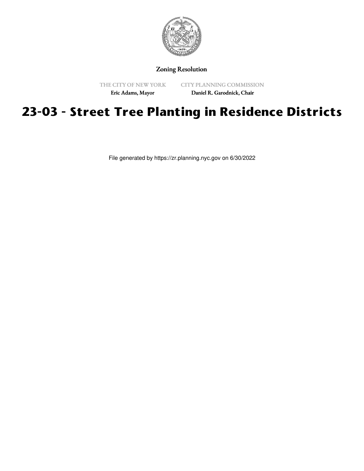

## Zoning Resolution

THE CITY OF NEW YORK

CITY PLANNING COMMISSION

Eric Adams, Mayor

Daniel R. Garodnick, Chair

## **23-03 - Street Tree Planting in Residence Districts**

File generated by https://zr.planning.nyc.gov on 6/30/2022